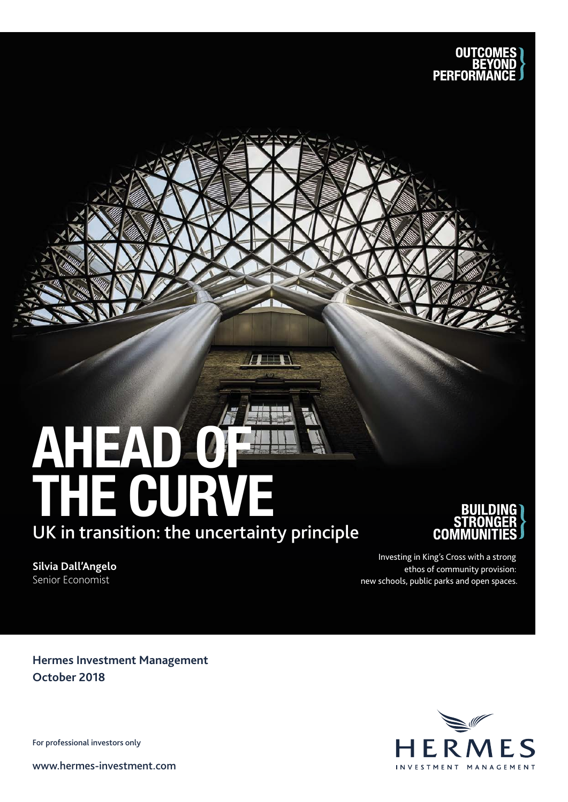

# AHEAD OF THE CURVE UK in transition: the uncertainty principle

 $\sqrt{1+\Gamma}$ 

**Silvia Dall'Angelo** Senior Economist

Investing in King's Cross with a strong ethos of community provision: new schools, public parks and open spaces.

COME

**Hermes Investment Management October 2018**

For professional investors only

www.hermes-investment.com

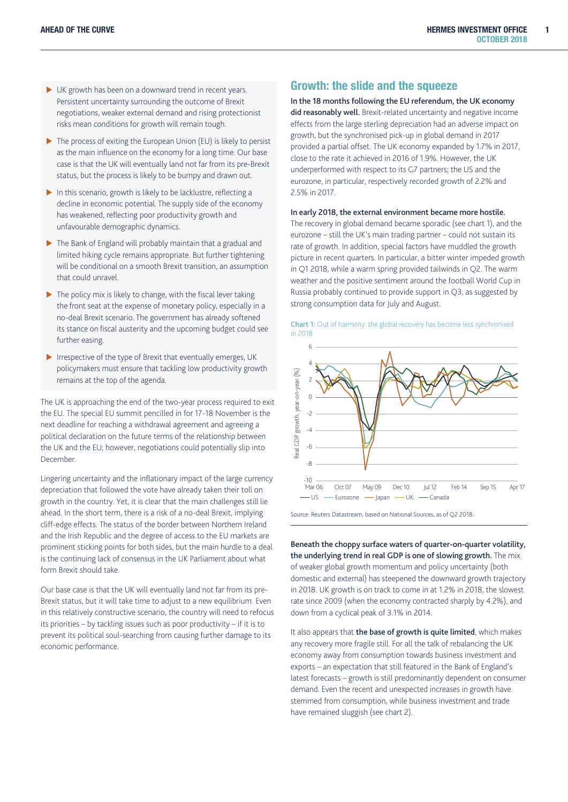1

- $\blacktriangleright$  UK growth has been on a downward trend in recent years. Persistent uncertainty surrounding the outcome of Brexit negotiations, weaker external demand and rising protectionist risks mean conditions for growth will remain tough.
- $\blacktriangleright$  The process of exiting the European Union (EU) is likely to persist as the main influence on the economy for a long time. Our base case is that the UK will eventually land not far from its pre-Brexit status, but the process is likely to be bumpy and drawn out.
- $\blacktriangleright$  In this scenario, growth is likely to be lacklustre, reflecting a decline in economic potential. The supply side of the economy has weakened, reflecting poor productivity growth and unfavourable demographic dynamics.
- $\blacktriangleright$  The Bank of England will probably maintain that a gradual and limited hiking cycle remains appropriate. But further tightening will be conditional on a smooth Brexit transition, an assumption that could unravel.
- $\blacktriangleright$  The policy mix is likely to change, with the fiscal lever taking the front seat at the expense of monetary policy, especially in a no-deal Brexit scenario. The government has already softened its stance on fiscal austerity and the upcoming budget could see further easing.
- $\blacktriangleright$  Irrespective of the type of Brexit that eventually emerges, UK policymakers must ensure that tackling low productivity growth remains at the top of the agenda.

The UK is approaching the end of the two-year process required to exit the EU. The special EU summit pencilled in for 17-18 November is the next deadline for reaching a withdrawal agreement and agreeing a political declaration on the future terms of the relationship between the UK and the EU; however, negotiations could potentially slip into December.

Lingering uncertainty and the inflationary impact of the large currency depreciation that followed the vote have already taken their toll on growth in the country. Yet, it is clear that the main challenges still lie ahead. In the short term, there is a risk of a no-deal Brexit, implying cliff-edge effects. The status of the border between Northern Ireland and the Irish Republic and the degree of access to the EU markets are prominent sticking points for both sides, but the main hurdle to a deal is the continuing lack of consensus in the UK Parliament about what form Brexit should take.

Our base case is that the UK will eventually land not far from its pre-Brexit status, but it will take time to adjust to a new equilibrium. Even in this relatively constructive scenario, the country will need to refocus its priorities – by tackling issues such as poor productivity – if it is to prevent its political soul-searching from causing further damage to its economic performance.

# Growth: the slide and the squeeze

#### In the 18 months following the EU referendum, the UK economy

did reasonably well. Brexit-related uncertainty and negative income effects from the large sterling depreciation had an adverse impact on growth, but the synchronised pick-up in global demand in 2017 provided a partial offset. The UK economy expanded by 1.7% in 2017, close to the rate it achieved in 2016 of 1.9%. However, the UK underperformed with respect to its G7 partners; the US and the eurozone, in particular, respectively recorded growth of 2.2% and 2.5% in 2017.

### In early 2018, the external environment became more hostile.

The recovery in global demand became sporadic (see chart 1), and the eurozone – still the UK's main trading partner – could not sustain its rate of growth. In addition, special factors have muddled the growth picture in recent quarters. In particular, a bitter winter impeded growth in Q1 2018, while a warm spring provided tailwinds in Q2. The warm weather and the positive sentiment around the football World Cup in Russia probably continued to provide support in Q3, as suggested by strong consumption data for July and August.



Source: Reuters Datastream, based on National Sources, as of Q2 2018.

Beneath the choppy surface waters of quarter-on-quarter volatility, the underlying trend in real GDP is one of slowing growth. The mix of weaker global growth momentum and policy uncertainty (both domestic and external) has steepened the downward growth trajectory in 2018. UK growth is on track to come in at 1.2% in 2018, the slowest rate since 2009 (when the economy contracted sharply by 4.2%), and down from a cyclical peak of 3.1% in 2014.

It also appears that the base of growth is quite limited, which makes any recovery more fragile still. For all the talk of rebalancing the UK economy away from consumption towards business investment and exports – an expectation that still featured in the Bank of England's latest forecasts – growth is still predominantly dependent on consumer demand. Even the recent and unexpected increases in growth have stemmed from consumption, while business investment and trade have remained sluggish (see chart 2).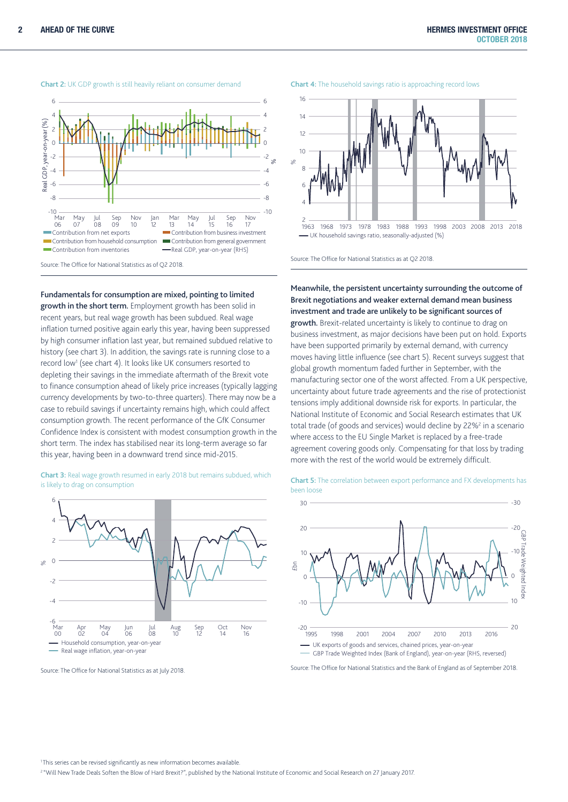

Chart 2: UK GDP growth is still heavily reliant on consumer demand

Fundamentals for consumption are mixed, pointing to limited

growth in the short term. Employment growth has been solid in recent years, but real wage growth has been subdued. Real wage inflation turned positive again early this year, having been suppressed by high consumer inflation last year, but remained subdued relative to history (see chart 3). In addition, the savings rate is running close to a record low1 (see chart 4). It looks like UK consumers resorted to depleting their savings in the immediate aftermath of the Brexit vote to finance consumption ahead of likely price increases (typically lagging currency developments by two-to-three quarters). There may now be a case to rebuild savings if uncertainty remains high, which could affect consumption growth. The recent performance of the GfK Consumer Confidence Index is consistent with modest consumption growth in the short term. The index has stabilised near its long-term average so far this year, having been in a downward trend since mid-2015.

Chart 3: Real wage growth resumed in early 2018 but remains subdued, which is likely to drag on consumption



Source: The Office for National Statistics as at July 2018.

Chart 4: The household savings ratio is approaching record lows



Source: The Office for National Statistics as at Q2 2018.

Meanwhile, the persistent uncertainty surrounding the outcome of Brexit negotiations and weaker external demand mean business investment and trade are unlikely to be significant sources of growth. Brexit-related uncertainty is likely to continue to drag on business investment, as major decisions have been put on hold. Exports have been supported primarily by external demand, with currency moves having little influence (see chart 5). Recent surveys suggest that global growth momentum faded further in September, with the manufacturing sector one of the worst affected. From a UK perspective, uncertainty about future trade agreements and the rise of protectionist tensions imply additional downside risk for exports. In particular, the National Institute of Economic and Social Research estimates that UK total trade (of goods and services) would decline by 22%<sup>2</sup> in a scenario where access to the EU Single Market is replaced by a free-trade agreement covering goods only. Compensating for that loss by trading more with the rest of the world would be extremely difficult.



Chart 5: The correlation between export performance and FX developments has been loose

Source: The Office for National Statistics and the Bank of England as of September 2018.

<sup>1</sup> This series can be revised significantly as new information becomes available.

<sup>2</sup> "Will New Trade Deals Soften the Blow of Hard Brexit?", published by the National Institute of Economic and Social Research on 27 January 2017.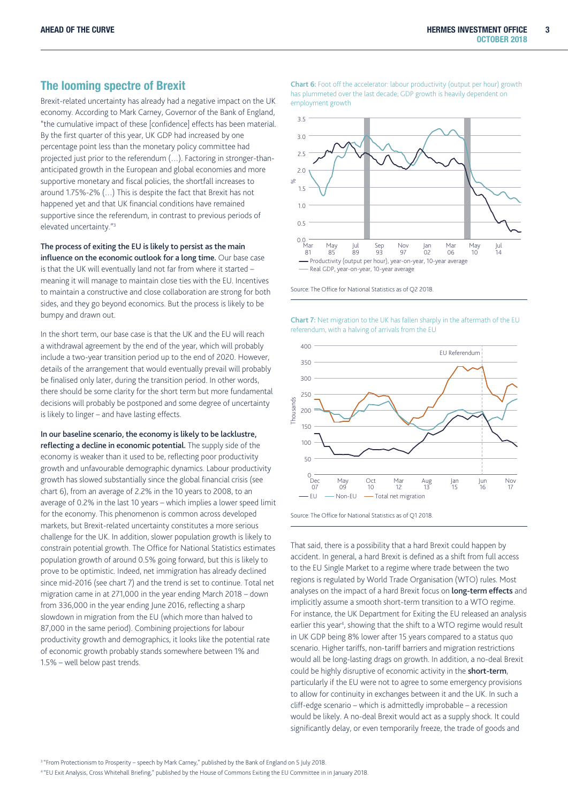# The looming spectre of Brexit

Brexit-related uncertainty has already had a negative impact on the UK economy. According to Mark Carney, Governor of the Bank of England, "the cumulative impact of these [confidence] effects has been material. By the first quarter of this year, UK GDP had increased by one percentage point less than the monetary policy committee had projected just prior to the referendum (…). Factoring in stronger-thananticipated growth in the European and global economies and more supportive monetary and fiscal policies, the shortfall increases to around 1.75%-2% (…) This is despite the fact that Brexit has not happened yet and that UK financial conditions have remained supportive since the referendum, in contrast to previous periods of elevated uncertainty."3

The process of exiting the EU is likely to persist as the main influence on the economic outlook for a long time. Our base case is that the UK will eventually land not far from where it started – meaning it will manage to maintain close ties with the EU. Incentives to maintain a constructive and close collaboration are strong for both sides, and they go beyond economics. But the process is likely to be bumpy and drawn out.

In the short term, our base case is that the UK and the EU will reach a withdrawal agreement by the end of the year, which will probably include a two-year transition period up to the end of 2020. However, details of the arrangement that would eventually prevail will probably be finalised only later, during the transition period. In other words, there should be some clarity for the short term but more fundamental decisions will probably be postponed and some degree of uncertainty is likely to linger – and have lasting effects.

In our baseline scenario, the economy is likely to be lacklustre, reflecting a decline in economic potential. The supply side of the economy is weaker than it used to be, reflecting poor productivity growth and unfavourable demographic dynamics. Labour productivity growth has slowed substantially since the global financial crisis (see chart 6), from an average of 2.2% in the 10 years to 2008, to an average of 0.2% in the last 10 years – which implies a lower speed limit for the economy. This phenomenon is common across developed markets, but Brexit-related uncertainty constitutes a more serious challenge for the UK. In addition, slower population growth is likely to constrain potential growth. The Office for National Statistics estimates population growth of around 0.5% going forward, but this is likely to prove to be optimistic. Indeed, net immigration has already declined since mid-2016 (see chart 7) and the trend is set to continue. Total net migration came in at 271,000 in the year ending March 2018 – down from 336,000 in the year ending June 2016, reflecting a sharp slowdown in migration from the EU (which more than halved to 87,000 in the same period). Combining projections for labour productivity growth and demographics, it looks like the potential rate of economic growth probably stands somewhere between 1% and 1.5% – well below past trends.

Chart 6: Foot off the accelerator: labour productivity (output per hour) growth has plummeted over the last decade; GDP growth is heavily dependent on employment growth



Source: The Office for National Statistics as of Q2 2018.

Chart 7: Net migration to the UK has fallen sharply in the aftermath of the EU referendum, with a halving of arrivals from the EU

![](_page_4_Figure_11.jpeg)

Source: The Office for National Statistics as of Q1 2018.

That said, there is a possibility that a hard Brexit could happen by accident. In general, a hard Brexit is defined as a shift from full access to the EU Single Market to a regime where trade between the two regions is regulated by World Trade Organisation (WTO) rules. Most analyses on the impact of a hard Brexit focus on **long-term effects** and implicitly assume a smooth short-term transition to a WTO regime. For instance, the UK Department for Exiting the EU released an analysis earlier this year<sup>4</sup>, showing that the shift to a WTO regime would result in UK GDP being 8% lower after 15 years compared to a status quo scenario. Higher tariffs, non-tariff barriers and migration restrictions would all be long-lasting drags on growth. In addition, a no-deal Brexit could be highly disruptive of economic activity in the short-term, particularly if the EU were not to agree to some emergency provisions to allow for continuity in exchanges between it and the UK. In such a cliff-edge scenario – which is admittedly improbable – a recession would be likely. A no-deal Brexit would act as a supply shock. It could significantly delay, or even temporarily freeze, the trade of goods and

<sup>3</sup> "From Protectionism to Prosperity – speech by Mark Carney," published by the Bank of England on 5 July 2018.

4 "EU Exit Analysis, Cross Whitehall Briefing," published by the House of Commons Exiting the EU Committee in in January 2018.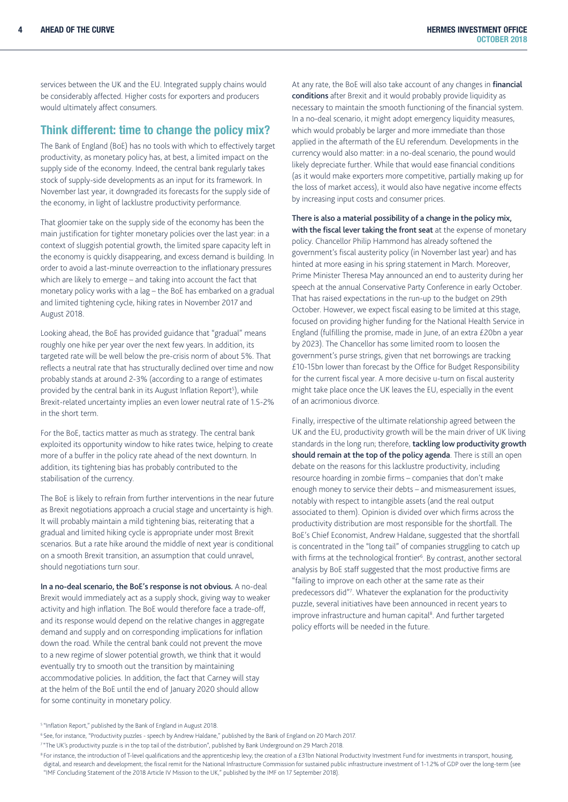services between the UK and the EU. Integrated supply chains would be considerably affected. Higher costs for exporters and producers would ultimately affect consumers.

# Think different: time to change the policy mix?

The Bank of England (BoE) has no tools with which to effectively target productivity, as monetary policy has, at best, a limited impact on the supply side of the economy. Indeed, the central bank regularly takes stock of supply-side developments as an input for its framework. In November last year, it downgraded its forecasts for the supply side of the economy, in light of lacklustre productivity performance.

That gloomier take on the supply side of the economy has been the main justification for tighter monetary policies over the last year: in a context of sluggish potential growth, the limited spare capacity left in the economy is quickly disappearing, and excess demand is building. In order to avoid a last-minute overreaction to the inflationary pressures which are likely to emerge – and taking into account the fact that monetary policy works with a lag – the BoE has embarked on a gradual and limited tightening cycle, hiking rates in November 2017 and August 2018.

Looking ahead, the BoE has provided guidance that "gradual" means roughly one hike per year over the next few years. In addition, its targeted rate will be well below the pre-crisis norm of about 5%. That reflects a neutral rate that has structurally declined over time and now probably stands at around 2-3% (according to a range of estimates provided by the central bank in its August Inflation Report<sup>5</sup>), while Brexit-related uncertainty implies an even lower neutral rate of 1.5-2% in the short term.

For the BoE, tactics matter as much as strategy. The central bank exploited its opportunity window to hike rates twice, helping to create more of a buffer in the policy rate ahead of the next downturn. In addition, its tightening bias has probably contributed to the stabilisation of the currency.

The BoE is likely to refrain from further interventions in the near future as Brexit negotiations approach a crucial stage and uncertainty is high. It will probably maintain a mild tightening bias, reiterating that a gradual and limited hiking cycle is appropriate under most Brexit scenarios. But a rate hike around the middle of next year is conditional on a smooth Brexit transition, an assumption that could unravel, should negotiations turn sour.

In a no-deal scenario, the BoE's response is not obvious. A no-deal Brexit would immediately act as a supply shock, giving way to weaker activity and high inflation. The BoE would therefore face a trade-off, and its response would depend on the relative changes in aggregate demand and supply and on corresponding implications for inflation down the road. While the central bank could not prevent the move to a new regime of slower potential growth, we think that it would eventually try to smooth out the transition by maintaining accommodative policies. In addition, the fact that Carney will stay at the helm of the BoE until the end of January 2020 should allow for some continuity in monetary policy.

At any rate, the BoE will also take account of any changes in financial conditions after Brexit and it would probably provide liquidity as necessary to maintain the smooth functioning of the financial system. In a no-deal scenario, it might adopt emergency liquidity measures, which would probably be larger and more immediate than those applied in the aftermath of the EU referendum. Developments in the currency would also matter: in a no-deal scenario, the pound would likely depreciate further. While that would ease financial conditions (as it would make exporters more competitive, partially making up for the loss of market access), it would also have negative income effects by increasing input costs and consumer prices.

There is also a material possibility of a change in the policy mix, with the fiscal lever taking the front seat at the expense of monetary policy. Chancellor Philip Hammond has already softened the government's fiscal austerity policy (in November last year) and has hinted at more easing in his spring statement in March. Moreover, Prime Minister Theresa May announced an end to austerity during her speech at the annual Conservative Party Conference in early October. That has raised expectations in the run-up to the budget on 29th October. However, we expect fiscal easing to be limited at this stage, focused on providing higher funding for the National Health Service in England (fulfilling the promise, made in June, of an extra £20bn a year by 2023). The Chancellor has some limited room to loosen the government's purse strings, given that net borrowings are tracking £10-15bn lower than forecast by the Office for Budget Responsibility for the current fiscal year. A more decisive u-turn on fiscal austerity might take place once the UK leaves the EU, especially in the event of an acrimonious divorce.

Finally, irrespective of the ultimate relationship agreed between the UK and the EU, productivity growth will be the main driver of UK living standards in the long run; therefore, tackling low productivity growth should remain at the top of the policy agenda. There is still an open debate on the reasons for this lacklustre productivity, including resource hoarding in zombie firms – companies that don't make enough money to service their debts – and mismeasurement issues, notably with respect to intangible assets (and the real output associated to them). Opinion is divided over which firms across the productivity distribution are most responsible for the shortfall. The BoE's Chief Economist, Andrew Haldane, suggested that the shortfall is concentrated in the "long tail" of companies struggling to catch up with firms at the technological frontier<sup>6</sup>. By contrast, another sectoral analysis by BoE staff suggested that the most productive firms are "failing to improve on each other at the same rate as their predecessors did"<sup>7</sup>. Whatever the explanation for the productivity puzzle, several initiatives have been announced in recent years to improve infrastructure and human capital<sup>8</sup>. And further targeted policy efforts will be needed in the future.

<sup>5 &</sup>quot;Inflation Report," published by the Bank of England in August 2018.

<sup>6</sup> See, for instance, "Productivity puzzles - speech by Andrew Haldane," published by the Bank of England on 20 March 2017.

<sup>&</sup>lt;sup>7</sup> "The UK's productivity puzzle is in the top tail of the distribution", published by Bank Underground on 29 March 2018.

<sup>&</sup>lt;sup>8</sup> For instance, the introduction of T-level qualifications and the apprenticeship levy; the creation of a £31bn National Productivity Investment Fund for investments in transport, housing,

digital, and research and development; the fiscal remit for the National Infrastructure Commission for sustained public infrastructure investment of 1-1.2% of GDP over the long-term (see "IMF Concluding Statement of the 2018 Article IV Mission to the UK," published by the IMF on 17 September 2018).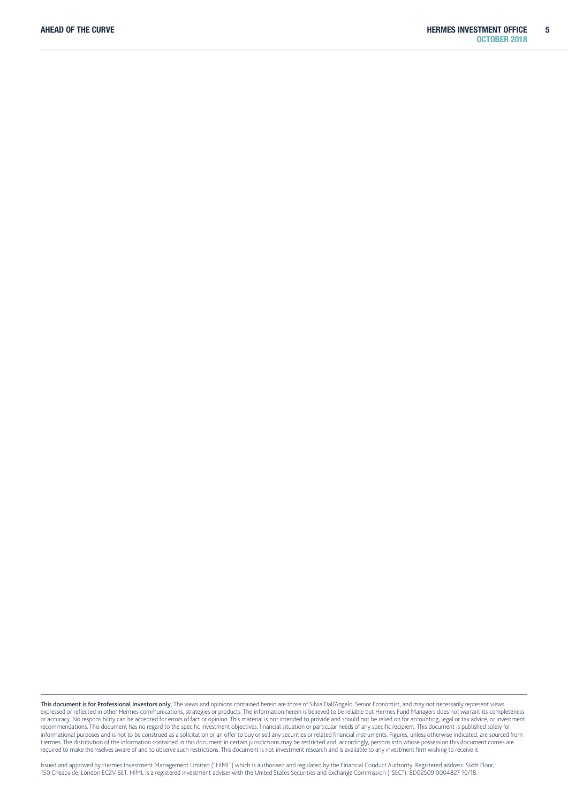This document is for Professional Investors only. The views and opinions contained herein are those of Silvia Dall'Angelo, Senior Economist, and may not necessarily represent views expressed or reflected in other Hermes communications, strategies or products. The information herein is believed to be reliable but Hermes Fund Managers does not warrant its completeness or accuracy. No responsibility can be accepted for errors of fact or opinion. This material is not intended to provide and should not be relied on for accounting, legal or tax advice, or investment recommendations. This document has no regard to the specific investment objectives, financial situation or particular needs of any specific recipient. This document is published solely for informational purposes and is not to be construed as a solicitation or an offer to buy or sell any securities or related financial instruments. Figures, unless otherwise indicated, are sourced from Hermes. The distribution of the information contained in this document in certain jurisdictions may be restricted and, accordingly, persons into whose possession this document comes are required to make themselves aware of and to observe such restrictions. This document is not investment research and is available to any investment firm wishing to receive it.

Issued and approved by Hermes Investment Management Limited ("HIML") which is authorised and regulated by the Financial Conduct Authority. Registered address: Sixth Floor, 150 Cheapside, London EC2V 6ET. HIML is a registered investment adviser with the United States Securities and Exchange Commission ("SEC"). BD02509 0004827 10/18.